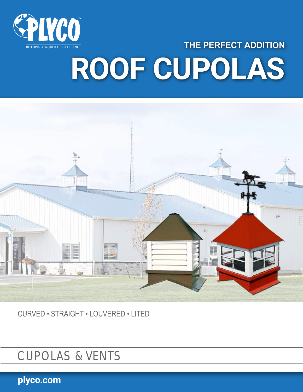

## **THE PERFECT ADDITION ROOF CUPOLAS**



CURVED • STRAIGHT • LOUVERED • LITED

CUPOLAS & VENTS

**plyco.com**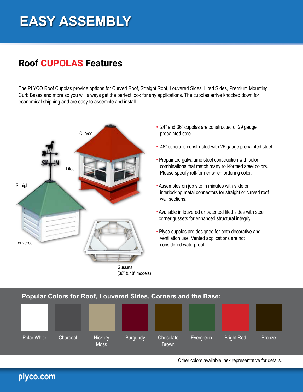## **EASY ASSEMBLY**

## **Roof CUPOLAS Features**

The PLYCO Roof Cupolas provide options for Curved Roof, Straight Roof, Louvered Sides, Lited Sides, Premium Mounting Curb Bases and more so you will always get the perfect look for any applications. The cupolas arrive knocked down for economical shipping and are easy to assemble and install.



(36" & 48" models)

- 24" and 36" cupolas are constructed of 29 gauge prepainted steel.
- 48" cupola is constructed with 26 gauge prepainted steel.
- Prepainted galvalume steel construction with color combinations that match many roll-formed steel colors. Please specify roll-former when ordering color.
- Assembles on job site in minutes with slide on, interlocking metal connectors for straight or curved roof wall sections.
- Available in louvered or patented lited sides with steel corner gussets for enhanced structural integriy.
- Plyco cupolas are designed for both decorative and ventilation use. Vented applications are not considered waterproof.

#### **Popular Colors for Roof, Louvered Sides, Corners and the Base:**



Other colors available, ask representative for details.

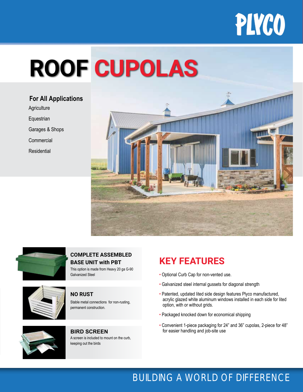

# **ROOF CUPOLAS**

**Agriculture Equestrian** Garages & Shops Commercial **For All Applications**

Residential





This option is made from Heavy 20 ga G-90 **COMPLETE ASSEMBLED BASE UNIT with PBT**



## Galvanized Steel

#### **NO RUST**

Stable metal connections for non-rusting, permanent construction.



A screen is included to mount on the curb, keeping out the birds **BIRD SCREEN**

## **KEY FEATURES**

- Optional Curb Cap for non-vented use.
- Galvanized steel internal gussets for diagonal strength
- Patented, updated lited side design features Plyco manufactured, acrylic glazed white aluminum windows installed in each side for lited option, with or without grids.
- Packaged knocked down for economical shipping
- Convenient 1-piece packaging for 24" and 36" cupolas, 2-piece for 48" for easier handling and job-site use

### BUILDING A WORLD OF DIFFERENCE